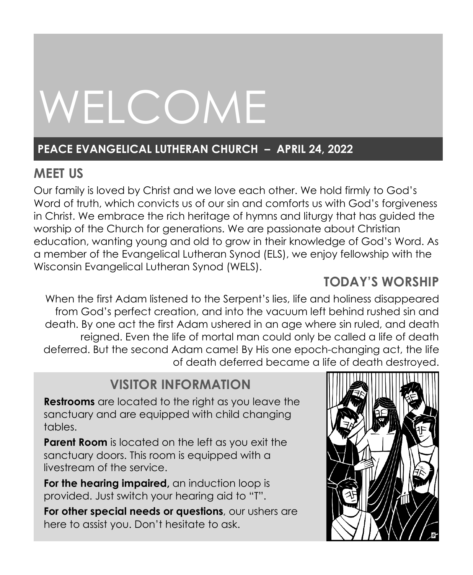# WELCOME

# **PEACE EVANGELICAL LUTHERAN CHURCH – APRIL 24, 2022**

# **MEET US**

Our family is loved by Christ and we love each other. We hold firmly to God's Word of truth, which convicts us of our sin and comforts us with God's forgiveness in Christ. We embrace the rich heritage of hymns and liturgy that has guided the worship of the Church for generations. We are passionate about Christian education, wanting young and old to grow in their knowledge of God's Word. As a member of the Evangelical Lutheran Synod (ELS), we enjoy fellowship with the Wisconsin Evangelical Lutheran Synod (WELS).

# **TODAY'S WORSHIP**

When the first Adam listened to the Serpent's lies, life and holiness disappeared from God's perfect creation, and into the vacuum left behind rushed sin and death. By one act the first Adam ushered in an age where sin ruled, and death reigned. Even the life of mortal man could only be called a life of death deferred. But the second Adam came! By His one epoch-changing act, the life of death deferred became a life of death destroyed.

# **VISITOR INFORMATION**

**Restrooms** are located to the right as you leave the sanctuary and are equipped with child changing tables.

**Parent Room** is located on the left as you exit the sanctuary doors. This room is equipped with a livestream of the service.

**For the hearing impaired,** an induction loop is provided. Just switch your hearing aid to "T".

**For other special needs or questions**, our ushers are here to assist you. Don't hesitate to ask.

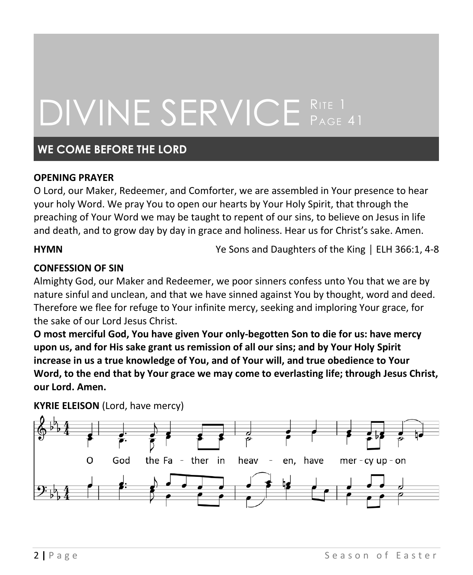# DIVINE SERVICE RITE 1 PAGE 41

## **WE COME BEFORE THE LORD**

#### **OPENING PRAYER**

O Lord, our Maker, Redeemer, and Comforter, we are assembled in Your presence to hear your holy Word. We pray You to open our hearts by Your Holy Spirit, that through the preaching of Your Word we may be taught to repent of our sins, to believe on Jesus in life and death, and to grow day by day in grace and holiness. Hear us for Christ's sake. Amen.

**HYMN WE Sons and Daughters of the King** | ELH 366:1, 4-8

### **CONFESSION OF SIN**

Almighty God, our Maker and Redeemer, we poor sinners confess unto You that we are by nature sinful and unclean, and that we have sinned against You by thought, word and deed. Therefore we flee for refuge to Your infinite mercy, seeking and imploring Your grace, for the sake of our Lord Jesus Christ.

**O most merciful God, You have given Your only-begotten Son to die for us: have mercy upon us, and for His sake grant us remission of all our sins; and by Your Holy Spirit increase in us a true knowledge of You, and of Your will, and true obedience to Your Word, to the end that by Your grace we may come to everlasting life; through Jesus Christ, our Lord. Amen.**

**KYRIE ELEISON** (Lord, have mercy)

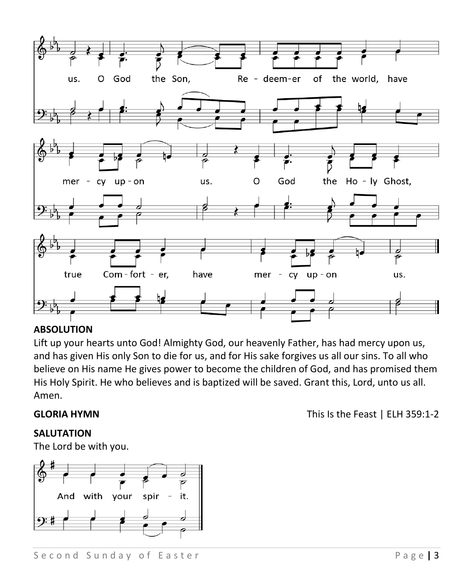

#### **ABSOLUTION**

Lift up your hearts unto God! Almighty God, our heavenly Father, has had mercy upon us, and has given His only Son to die for us, and for His sake forgives us all our sins. To all who believe on His name He gives power to become the children of God, and has promised them His Holy Spirit. He who believes and is baptized will be saved. Grant this, Lord, unto us all. Amen.

#### **SALUTATION**

The Lord be with you.



**GLORIA HYMN** This Is the Feast | ELH 359:1-2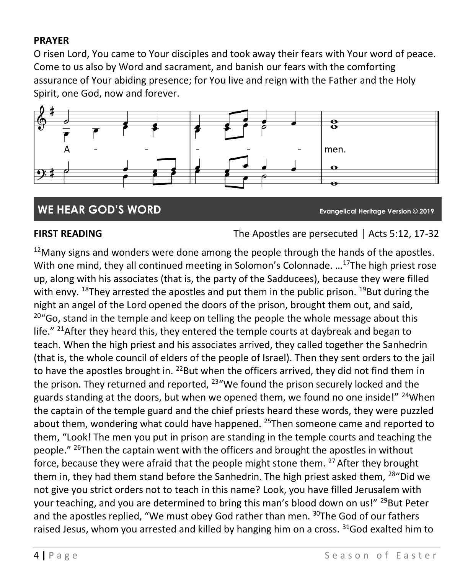### **PRAYER**

O risen Lord, You came to Your disciples and took away their fears with Your word of peace. Come to us also by Word and sacrament, and banish our fears with the comforting assurance of Your abiding presence; for You live and reign with the Father and the Holy Spirit, one God, now and forever.



# **WE HEAR GOD'S WORD Evangelical Heritage Version © 2019**

**FIRST READING** The Apostles are persecuted │ Acts 5:12, 17-32

 $12$ Many signs and wonders were done among the people through the hands of the apostles. With one mind, they all continued meeting in Solomon's Colonnade. ...<sup>17</sup>The high priest rose up, along with his associates (that is, the party of the Sadducees), because they were filled with envy.  $18$ They arrested the apostles and put them in the public prison.  $19$ But during the night an angel of the Lord opened the doors of the prison, brought them out, and said,  $20^{\circ}$ Go, stand in the temple and keep on telling the people the whole message about this life." <sup>21</sup>After they heard this, they entered the temple courts at daybreak and began to teach. When the high priest and his associates arrived, they called together the Sanhedrin (that is, the whole council of elders of the people of Israel). Then they sent orders to the jail to have the apostles brought in. <sup>22</sup>But when the officers arrived, they did not find them in the prison. They returned and reported, <sup>23</sup> "We found the prison securely locked and the guards standing at the doors, but when we opened them, we found no one inside!" <sup>24</sup>When the captain of the temple guard and the chief priests heard these words, they were puzzled about them, wondering what could have happened.  $^{25}$ Then someone came and reported to them, "Look! The men you put in prison are standing in the temple courts and teaching the people." <sup>26</sup>Then the captain went with the officers and brought the apostles in without force, because they were afraid that the people might stone them. <sup>27</sup> After they brought them in, they had them stand before the Sanhedrin. The high priest asked them, 28"Did we not give you strict orders not to teach in this name? Look, you have filled Jerusalem with your teaching, and you are determined to bring this man's blood down on us!" <sup>29</sup>But Peter and the apostles replied, "We must obey God rather than men. <sup>30</sup>The God of our fathers raised Jesus, whom you arrested and killed by hanging him on a cross. <sup>31</sup>God exalted him to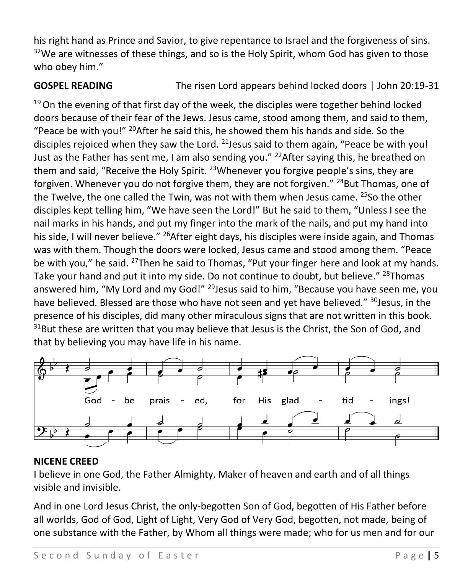his right hand as Prince and Savior, to give repentance to Israel and the forgiveness of sins.  $32$ We are witnesses of these things, and so is the Holy Spirit, whom God has given to those who obey him."

# **GOSPEL READING** The risen Lord appears behind locked doors | John 20:19-31

 $19$ On the evening of that first day of the week, the disciples were together behind locked doors because of their fear of the Jews. Jesus came, stood among them, and said to them, "Peace be with you!"  $^{20}$ After he said this, he showed them his hands and side. So the disciples rejoiced when they saw the Lord. <sup>21</sup> Jesus said to them again, "Peace be with you! Just as the Father has sent me, I am also sending you." <sup>22</sup>After saying this, he breathed on them and said, "Receive the Holy Spirit. <sup>23</sup>Whenever you forgive people's sins, they are forgiven. Whenever you do not forgive them, they are not forgiven."  $^{24}$ But Thomas, one of the Twelve, the one called the Twin, was not with them when Jesus came. <sup>25</sup>So the other disciples kept telling him, "We have seen the Lord!" But he said to them, "Unless I see the nail marks in his hands, and put my finger into the mark of the nails, and put my hand into his side, I will never believe." <sup>26</sup>After eight days, his disciples were inside again, and Thomas was with them. Though the doors were locked, Jesus came and stood among them. "Peace be with you," he said. <sup>27</sup>Then he said to Thomas, "Put your finger here and look at my hands. Take your hand and put it into my side. Do not continue to doubt, but believe." <sup>28</sup>Thomas answered him, "My Lord and my God!" <sup>29</sup>Jesus said to him, "Because you have seen me, you have believed. Blessed are those who have not seen and yet have believed." <sup>30</sup>Jesus, in the presence of his disciples, did many other miraculous signs that are not written in this book.  $31$ But these are written that you may believe that Jesus is the Christ, the Son of God, and that by believing you may have life in his name.



### **NICENE CREED**

I believe in one God, the Father Almighty, Maker of heaven and earth and of all things visible and invisible.

And in one Lord Jesus Christ, the only-begotten Son of God, begotten of His Father before all worlds, God of God, Light of Light, Very God of Very God, begotten, not made, being of one substance with the Father, by Whom all things were made; who for us men and for our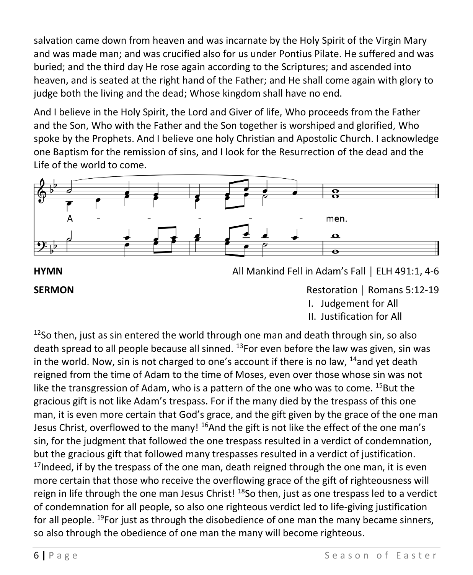salvation came down from heaven and was incarnate by the Holy Spirit of the Virgin Mary and was made man; and was crucified also for us under Pontius Pilate. He suffered and was buried; and the third day He rose again according to the Scriptures; and ascended into heaven, and is seated at the right hand of the Father; and He shall come again with glory to judge both the living and the dead; Whose kingdom shall have no end.

And I believe in the Holy Spirit, the Lord and Giver of life, Who proceeds from the Father and the Son, Who with the Father and the Son together is worshiped and glorified, Who spoke by the Prophets. And I believe one holy Christian and Apostolic Church. I acknowledge one Baptism for the remission of sins, and I look for the Resurrection of the dead and the Life of the world to come.



**HYMN All Mankind Fell in Adam's Fall** | ELH 491:1, 4-6

- **SERMON** Restoration │ Romans 5:12-19
	- I. Judgement for All
	- II. Justification for All

 $12$ So then, just as sin entered the world through one man and death through sin, so also death spread to all people because all sinned.  $^{13}$  For even before the law was given, sin was in the world. Now, sin is not charged to one's account if there is no law,  $14$  and yet death reigned from the time of Adam to the time of Moses, even over those whose sin was not like the transgression of Adam, who is a pattern of the one who was to come. <sup>15</sup>But the gracious gift is not like Adam's trespass. For if the many died by the trespass of this one man, it is even more certain that God's grace, and the gift given by the grace of the one man Jesus Christ, overflowed to the many! <sup>16</sup>And the gift is not like the effect of the one man's sin, for the judgment that followed the one trespass resulted in a verdict of condemnation, but the gracious gift that followed many trespasses resulted in a verdict of justification.  $17$ Indeed, if by the trespass of the one man, death reigned through the one man, it is even more certain that those who receive the overflowing grace of the gift of righteousness will reign in life through the one man Jesus Christ!  $^{18}$ So then, just as one trespass led to a verdict of condemnation for all people, so also one righteous verdict led to life-giving justification for all people. <sup>19</sup>For just as through the disobedience of one man the many became sinners, so also through the obedience of one man the many will become righteous.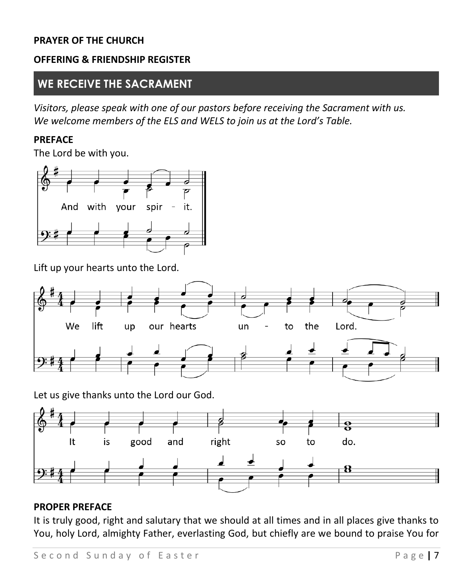#### **PRAYER OF THE CHURCH**

#### **OFFERING & FRIENDSHIP REGISTER**

### **WE RECEIVE THE SACRAMENT**

*Visitors, please speak with one of our pastors before receiving the Sacrament with us. We welcome members of the ELS and WELS to join us at the Lord's Table.*

#### **PREFACE**

The Lord be with you.



Lift up your hearts unto the Lord.



Let us give thanks unto the Lord our God.



#### **PROPER PREFACE**

It is truly good, right and salutary that we should at all times and in all places give thanks to You, holy Lord, almighty Father, everlasting God, but chiefly are we bound to praise You for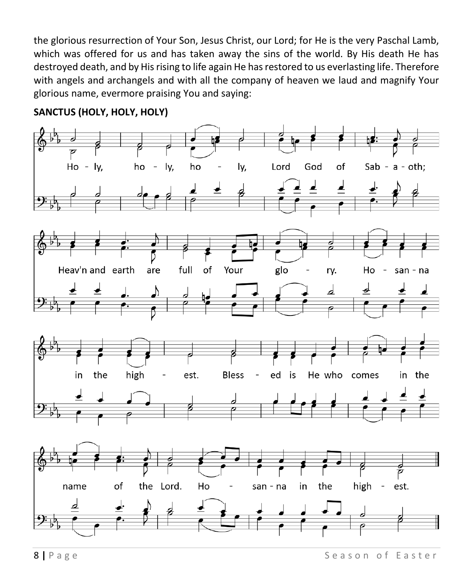the glorious resurrection of Your Son, Jesus Christ, our Lord; for He is the very Paschal Lamb, which was offered for us and has taken away the sins of the world. By His death He has destroyed death, and by His rising to life again He has restored to us everlasting life. Therefore with angels and archangels and with all the company of heaven we laud and magnify Your glorious name, evermore praising You and saying:

#### **SANCTUS (HOLY, HOLY, HOLY)**

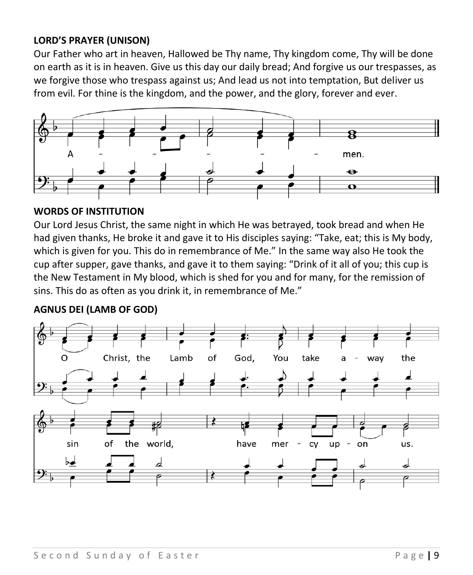### **LORD'S PRAYER (UNISON)**

Our Father who art in heaven, Hallowed be Thy name, Thy kingdom come, Thy will be done on earth as it is in heaven. Give us this day our daily bread; And forgive us our trespasses, as we forgive those who trespass against us; And lead us not into temptation, But deliver us from evil. For thine is the kingdom, and the power, and the glory, forever and ever.



#### **WORDS OF INSTITUTION**

Our Lord Jesus Christ, the same night in which He was betrayed, took bread and when He had given thanks, He broke it and gave it to His disciples saying: "Take, eat; this is My body, which is given for you. This do in remembrance of Me." In the same way also He took the cup after supper, gave thanks, and gave it to them saying: "Drink of it all of you; this cup is the New Testament in My blood, which is shed for you and for many, for the remission of sins. This do as often as you drink it, in remembrance of Me."

### **AGNUS DEI (LAMB OF GOD)**

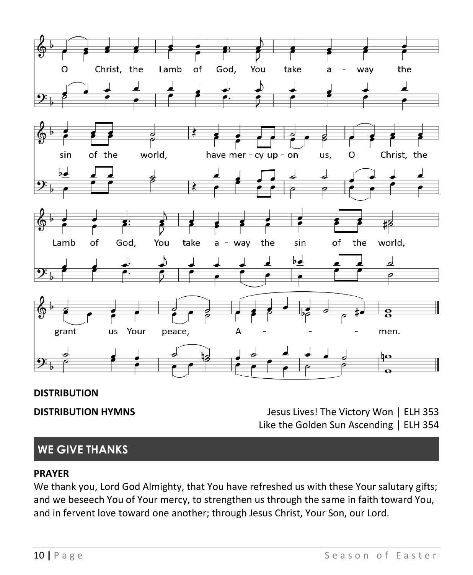

#### **DISTRIBUTION**

**DISTRIBUTION HYMNS** Jesus Lives! The Victory Won │ ELH 353 Like the Golden Sun Ascending │ ELH 354

### **WE GIVE THANKS**

#### **PRAYER**

We thank you, Lord God Almighty, that You have refreshed us with these Your salutary gifts; and we beseech You of Your mercy, to strengthen us through the same in faith toward You, and in fervent love toward one another; through Jesus Christ, Your Son, our Lord.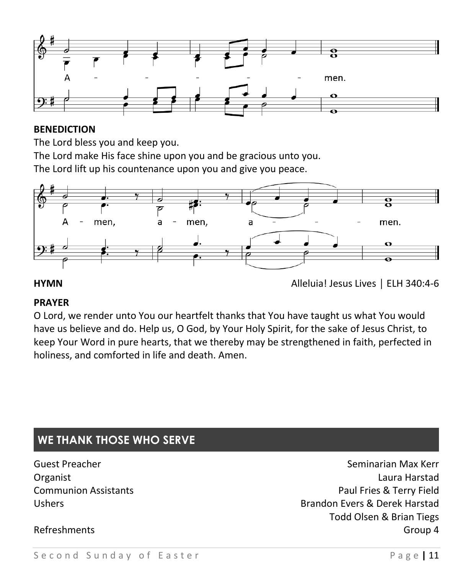

#### **BENEDICTION**

The Lord bless you and keep you.

The Lord make His face shine upon you and be gracious unto you.

The Lord lift up his countenance upon you and give you peace.



**HYMN Alleluia! Jesus Lives │ ELH 340:4-6** 

#### **PRAYER**

O Lord, we render unto You our heartfelt thanks that You have taught us what You would have us believe and do. Help us, O God, by Your Holy Spirit, for the sake of Jesus Christ, to keep Your Word in pure hearts, that we thereby may be strengthened in faith, perfected in holiness, and comforted in life and death. Amen.

# **WE THANK THOSE WHO SERVE**

Guest Preacher Seminarian Max Kerr Organist Laura Harstad Communion Assistants Paul Fries & Terry Field Ushers Brandon Evers & Derek Harstad Todd Olsen & Brian Tiegs Refreshments **Group 4** and the contract of the contract of the contract of the contract of the contract of the contract of the contract of the contract of the contract of the contract of the contract of the contract of the